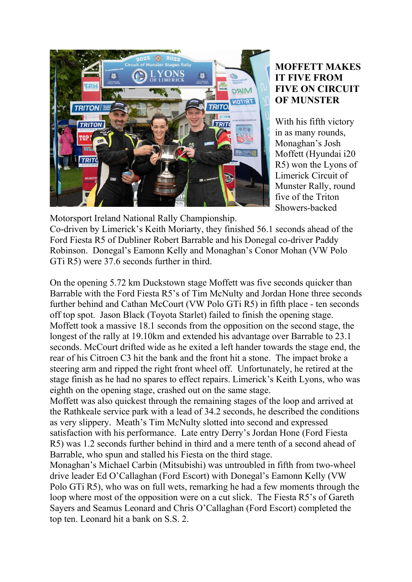

## **MOFFETT MAKES IT FIVE FROM FIVE ON CIRCUIT OF MUNSTER**

With his fifth victory in as many rounds, Monaghan's Josh Moffett (Hyundai i20 R5) won the Lyons of Limerick Circuit of Munster Rally, round five of the Triton Showers-backed

Motorsport Ireland National Rally Championship.

Co-driven by Limerick's Keith Moriarty, they finished 56.1 seconds ahead of the Ford Fiesta R5 of Dubliner Robert Barrable and his Donegal co-driver Paddy Robinson. Donegal's Eamonn Kelly and Monaghan's Conor Mohan (VW Polo GTi R5) were 37.6 seconds further in third.

On the opening 5.72 km Duckstown stage Moffett was five seconds quicker than Barrable with the Ford Fiesta R5's of Tim McNulty and Jordan Hone three seconds further behind and Cathan McCourt (VW Polo GTi R5) in fifth place - ten seconds off top spot. Jason Black (Toyota Starlet) failed to finish the opening stage. Moffett took a massive 18.1 seconds from the opposition on the second stage, the longest of the rally at 19.10km and extended his advantage over Barrable to 23.1 seconds. McCourt drifted wide as he exited a left hander towards the stage end, the rear of his Citroen C3 hit the bank and the front hit a stone. The impact broke a steering arm and ripped the right front wheel off. Unfortunately, he retired at the stage finish as he had no spares to effect repairs. Limerick's Keith Lyons, who was eighth on the opening stage, crashed out on the same stage.

Moffett was also quickest through the remaining stages of the loop and arrived at the Rathkeale service park with a lead of 34.2 seconds, he described the conditions as very slippery. Meath's Tim McNulty slotted into second and expressed satisfaction with his performance. Late entry Derry's Jordan Hone (Ford Fiesta R5) was 1.2 seconds further behind in third and a mere tenth of a second ahead of Barrable, who spun and stalled his Fiesta on the third stage.

Monaghan's Michael Carbin (Mitsubishi) was untroubled in fifth from two-wheel drive leader Ed O'Callaghan (Ford Escort) with Donegal's Eamonn Kelly (VW Polo GTi R5), who was on full wets, remarking he had a few moments through the loop where most of the opposition were on a cut slick. The Fiesta R5's of Gareth Sayers and Seamus Leonard and Chris O'Callaghan (Ford Escort) completed the top ten. Leonard hit a bank on S.S. 2.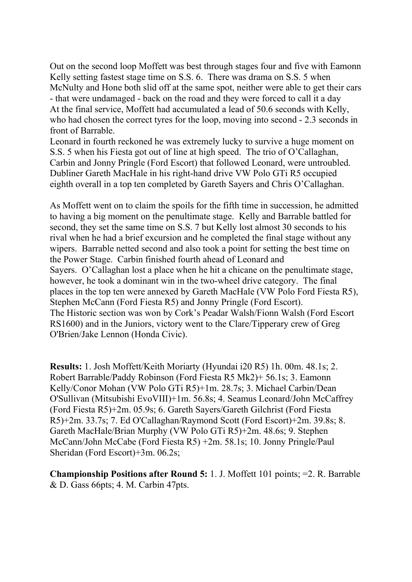Out on the second loop Moffett was best through stages four and five with Eamonn Kelly setting fastest stage time on S.S. 6. There was drama on S.S. 5 when McNulty and Hone both slid off at the same spot, neither were able to get their cars - that were undamaged - back on the road and they were forced to call it a day At the final service, Moffett had accumulated a lead of 50.6 seconds with Kelly, who had chosen the correct tyres for the loop, moving into second - 2.3 seconds in front of Barrable.

Leonard in fourth reckoned he was extremely lucky to survive a huge moment on S.S. 5 when his Fiesta got out of line at high speed. The trio of O'Callaghan, Carbin and Jonny Pringle (Ford Escort) that followed Leonard, were untroubled. Dubliner Gareth MacHale in his right-hand drive VW Polo GTi R5 occupied eighth overall in a top ten completed by Gareth Sayers and Chris O'Callaghan.

As Moffett went on to claim the spoils for the fifth time in succession, he admitted to having a big moment on the penultimate stage. Kelly and Barrable battled for second, they set the same time on S.S. 7 but Kelly lost almost 30 seconds to his rival when he had a brief excursion and he completed the final stage without any wipers. Barrable netted second and also took a point for setting the best time on the Power Stage. Carbin finished fourth ahead of Leonard and Sayers. O'Callaghan lost a place when he hit a chicane on the penultimate stage, however, he took a dominant win in the two-wheel drive category. The final places in the top ten were annexed by Gareth MacHale (VW Polo Ford Fiesta R5), Stephen McCann (Ford Fiesta R5) and Jonny Pringle (Ford Escort). The Historic section was won by Cork's Peadar Walsh/Fionn Walsh (Ford Escort RS1600) and in the Juniors, victory went to the Clare/Tipperary crew of Greg O'Brien/Jake Lennon (Honda Civic).

**Results:** 1. Josh Moffett/Keith Moriarty (Hyundai i20 R5) 1h. 00m. 48.1s; 2. Robert Barrable/Paddy Robinson (Ford Fiesta R5 Mk2)+ 56.1s; 3. Eamonn Kelly/Conor Mohan (VW Polo GTi R5)+1m. 28.7s; 3. Michael Carbin/Dean O'Sullivan (Mitsubishi EvoVIII)+1m. 56.8s; 4. Seamus Leonard/John McCaffrey (Ford Fiesta R5)+2m. 05.9s; 6. Gareth Sayers/Gareth Gilchrist (Ford Fiesta R5)+2m. 33.7s; 7. Ed O'Callaghan/Raymond Scott (Ford Escort)+2m. 39.8s; 8. Gareth MacHale/Brian Murphy (VW Polo GTi R5)+2m. 48.6s; 9. Stephen McCann/John McCabe (Ford Fiesta R5) +2m. 58.1s; 10. Jonny Pringle/Paul Sheridan (Ford Escort)+3m. 06.2s;

**Championship Positions after Round 5:** 1. J. Moffett 101 points; =2. R. Barrable & D. Gass 66pts; 4. M. Carbin 47pts.